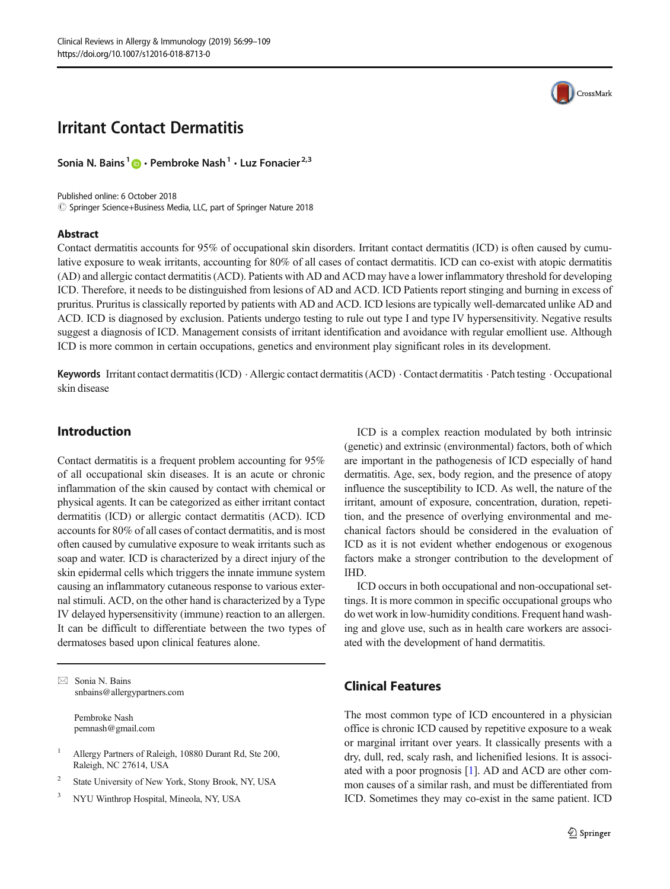

# Irritant Contact Dermatitis

Sonia N. Bains<sup>1</sup>  $\bullet$  Pembroke Nash<sup>1</sup>  $\cdot$  Luz Fonacier<sup>2,3</sup>

Published online: 6 October 2018 © Springer Science+Business Media, LLC, part of Springer Nature 2018

#### Abstract

Contact dermatitis accounts for 95% of occupational skin disorders. Irritant contact dermatitis (ICD) is often caused by cumulative exposure to weak irritants, accounting for 80% of all cases of contact dermatitis. ICD can co-exist with atopic dermatitis (AD) and allergic contact dermatitis (ACD). Patients with AD and ACD may have a lower inflammatory threshold for developing ICD. Therefore, it needs to be distinguished from lesions of AD and ACD. ICD Patients report stinging and burning in excess of pruritus. Pruritus is classically reported by patients with AD and ACD. ICD lesions are typically well-demarcated unlike AD and ACD. ICD is diagnosed by exclusion. Patients undergo testing to rule out type I and type IV hypersensitivity. Negative results suggest a diagnosis of ICD. Management consists of irritant identification and avoidance with regular emollient use. Although ICD is more common in certain occupations, genetics and environment play significant roles in its development.

Keywords Irritant contact dermatitis (ICD)  $\cdot$  Allergic contact dermatitis (ACD)  $\cdot$  Contact dermatitis  $\cdot$  Patch testing  $\cdot$  Occupational skin disease

# Introduction

Contact dermatitis is a frequent problem accounting for 95% of all occupational skin diseases. It is an acute or chronic inflammation of the skin caused by contact with chemical or physical agents. It can be categorized as either irritant contact dermatitis (ICD) or allergic contact dermatitis (ACD). ICD accounts for 80% of all cases of contact dermatitis, and is most often caused by cumulative exposure to weak irritants such as soap and water. ICD is characterized by a direct injury of the skin epidermal cells which triggers the innate immune system causing an inflammatory cutaneous response to various external stimuli. ACD, on the other hand is characterized by a Type IV delayed hypersensitivity (immune) reaction to an allergen. It can be difficult to differentiate between the two types of dermatoses based upon clinical features alone.

 $\boxtimes$  Sonia N. Bains [snbains@allergypartners.com](mailto:snbains@allergypartners.com)

> Pembroke Nash pemnash@gmail.com

- <sup>1</sup> Allergy Partners of Raleigh, 10880 Durant Rd, Ste 200, Raleigh, NC 27614, USA
- <sup>2</sup> State University of New York, Stony Brook, NY, USA
- <sup>3</sup> NYU Winthrop Hospital, Mineola, NY, USA

ICD is a complex reaction modulated by both intrinsic (genetic) and extrinsic (environmental) factors, both of which are important in the pathogenesis of ICD especially of hand dermatitis. Age, sex, body region, and the presence of atopy influence the susceptibility to ICD. As well, the nature of the irritant, amount of exposure, concentration, duration, repetition, and the presence of overlying environmental and mechanical factors should be considered in the evaluation of ICD as it is not evident whether endogenous or exogenous factors make a stronger contribution to the development of IHD.

ICD occurs in both occupational and non-occupational settings. It is more common in specific occupational groups who do wet work in low-humidity conditions. Frequent hand washing and glove use, such as in health care workers are associated with the development of hand dermatitis.

# Clinical Features

The most common type of ICD encountered in a physician office is chronic ICD caused by repetitive exposure to a weak or marginal irritant over years. It classically presents with a dry, dull, red, scaly rash, and lichenified lesions. It is associated with a poor prognosis [\[1](#page-9-0)]. AD and ACD are other common causes of a similar rash, and must be differentiated from ICD. Sometimes they may co-exist in the same patient. ICD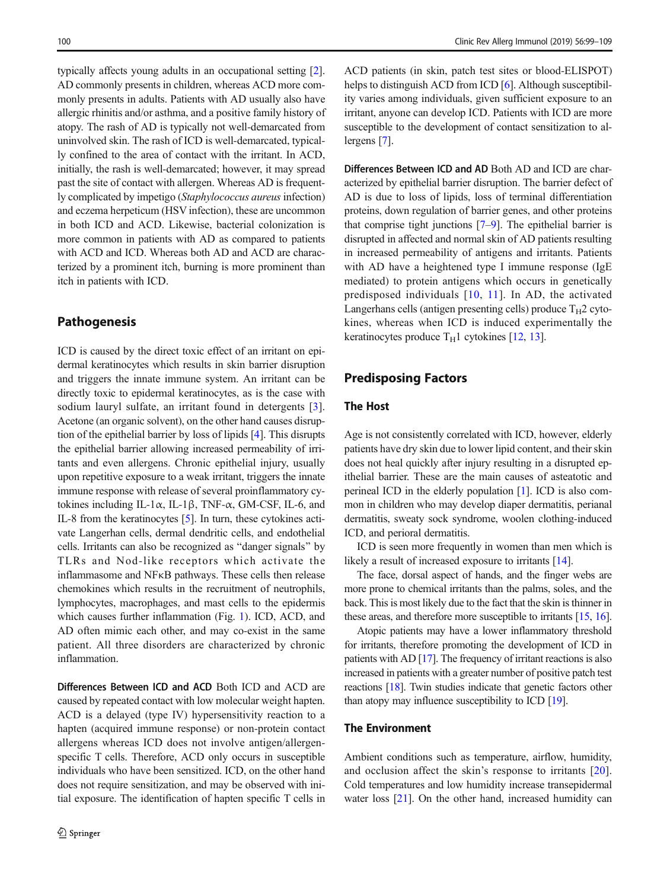typically affects young adults in an occupational setting [[2\]](#page-10-0). AD commonly presents in children, whereas ACD more commonly presents in adults. Patients with AD usually also have allergic rhinitis and/or asthma, and a positive family history of atopy. The rash of AD is typically not well-demarcated from uninvolved skin. The rash of ICD is well-demarcated, typically confined to the area of contact with the irritant. In ACD, initially, the rash is well-demarcated; however, it may spread past the site of contact with allergen. Whereas AD is frequently complicated by impetigo (Staphylococcus aureus infection) and eczema herpeticum (HSV infection), these are uncommon in both ICD and ACD. Likewise, bacterial colonization is more common in patients with AD as compared to patients with ACD and ICD. Whereas both AD and ACD are characterized by a prominent itch, burning is more prominent than itch in patients with ICD.

# **Pathogenesis**

ICD is caused by the direct toxic effect of an irritant on epidermal keratinocytes which results in skin barrier disruption and triggers the innate immune system. An irritant can be directly toxic to epidermal keratinocytes, as is the case with sodium lauryl sulfate, an irritant found in detergents [\[3](#page-10-0)]. Acetone (an organic solvent), on the other hand causes disruption of the epithelial barrier by loss of lipids [\[4\]](#page-10-0). This disrupts the epithelial barrier allowing increased permeability of irritants and even allergens. Chronic epithelial injury, usually upon repetitive exposure to a weak irritant, triggers the innate immune response with release of several proinflammatory cytokines including IL-1α, IL-1β, TNF- $\alpha$ , GM-CSF, IL-6, and IL-8 from the keratinocytes [[5](#page-10-0)]. In turn, these cytokines activate Langerhan cells, dermal dendritic cells, and endothelial cells. Irritants can also be recognized as "danger signals" by TLRs and Nod-like receptors which activate the inflammasome and NFκB pathways. These cells then release chemokines which results in the recruitment of neutrophils, lymphocytes, macrophages, and mast cells to the epidermis which causes further inflammation (Fig. [1](#page-2-0)). ICD, ACD, and AD often mimic each other, and may co-exist in the same patient. All three disorders are characterized by chronic inflammation.

Differences Between ICD and ACD Both ICD and ACD are caused by repeated contact with low molecular weight hapten. ACD is a delayed (type IV) hypersensitivity reaction to a hapten (acquired immune response) or non-protein contact allergens whereas ICD does not involve antigen/allergenspecific T cells. Therefore, ACD only occurs in susceptible individuals who have been sensitized. ICD, on the other hand does not require sensitization, and may be observed with initial exposure. The identification of hapten specific T cells in

ACD patients (in skin, patch test sites or blood-ELISPOT) helps to distinguish ACD from ICD [\[6](#page-10-0)]. Although susceptibility varies among individuals, given sufficient exposure to an irritant, anyone can develop ICD. Patients with ICD are more susceptible to the development of contact sensitization to allergens [[7\]](#page-10-0).

Differences Between ICD and AD Both AD and ICD are characterized by epithelial barrier disruption. The barrier defect of AD is due to loss of lipids, loss of terminal differentiation proteins, down regulation of barrier genes, and other proteins that comprise tight junctions  $[7-9]$  $[7-9]$  $[7-9]$  $[7-9]$  $[7-9]$ . The epithelial barrier is disrupted in affected and normal skin of AD patients resulting in increased permeability of antigens and irritants. Patients with AD have a heightened type I immune response (IgE) mediated) to protein antigens which occurs in genetically predisposed individuals [[10,](#page-10-0) [11\]](#page-10-0). In AD, the activated Langerhans cells (antigen presenting cells) produce  $T_H2$  cytokines, whereas when ICD is induced experimentally the keratinocytes produce  $T_H1$  cytokines [[12,](#page-10-0) [13](#page-10-0)].

### Predisposing Factors

### The Host

Age is not consistently correlated with ICD, however, elderly patients have dry skin due to lower lipid content, and their skin does not heal quickly after injury resulting in a disrupted epithelial barrier. These are the main causes of asteatotic and perineal ICD in the elderly population [[1\]](#page-9-0). ICD is also common in children who may develop diaper dermatitis, perianal dermatitis, sweaty sock syndrome, woolen clothing-induced ICD, and perioral dermatitis.

ICD is seen more frequently in women than men which is likely a result of increased exposure to irritants [[14](#page-10-0)].

The face, dorsal aspect of hands, and the finger webs are more prone to chemical irritants than the palms, soles, and the back. This is most likely due to the fact that the skin is thinner in these areas, and therefore more susceptible to irritants [[15](#page-10-0), [16\]](#page-10-0).

Atopic patients may have a lower inflammatory threshold for irritants, therefore promoting the development of ICD in patients with AD [\[17](#page-10-0)]. The frequency of irritant reactions is also increased in patients with a greater number of positive patch test reactions [\[18\]](#page-10-0). Twin studies indicate that genetic factors other than atopy may influence susceptibility to ICD [\[19\]](#page-10-0).

### The Environment

Ambient conditions such as temperature, airflow, humidity, and occlusion affect the skin's response to irritants [\[20](#page-10-0)]. Cold temperatures and low humidity increase transepidermal water loss [\[21\]](#page-10-0). On the other hand, increased humidity can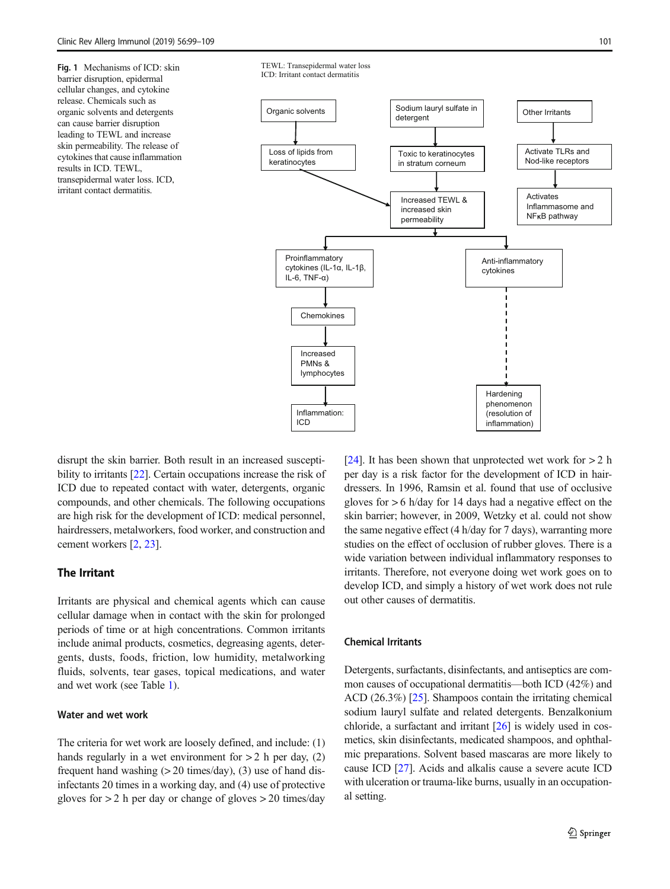<span id="page-2-0"></span>Fig. 1 Mechanisms of ICD: skin barrier disruption, epidermal cellular changes, and cytokine release. Chemicals such as organic solvents and detergents can cause barrier disruption leading to TEWL and increase skin permeability. The release of cytokines that cause inflammation results in ICD. TEWL, transepidermal water loss. ICD, irritant contact dermatitis.



disrupt the skin barrier. Both result in an increased susceptibility to irritants [[22\]](#page-10-0). Certain occupations increase the risk of ICD due to repeated contact with water, detergents, organic compounds, and other chemicals. The following occupations are high risk for the development of ICD: medical personnel, hairdressers, metalworkers, food worker, and construction and cement workers [[2](#page-10-0), [23](#page-10-0)].

# The Irritant

Irritants are physical and chemical agents which can cause cellular damage when in contact with the skin for prolonged periods of time or at high concentrations. Common irritants include animal products, cosmetics, degreasing agents, detergents, dusts, foods, friction, low humidity, metalworking fluids, solvents, tear gases, topical medications, and water and wet work (see Table [1](#page-3-0)).

#### Water and wet work

The criteria for wet work are loosely defined, and include: (1) hands regularly in a wet environment for  $> 2$  h per day, (2) frequent hand washing  $(> 20 \text{ times/day})$ ,  $(3)$  use of hand disinfectants 20 times in a working day, and (4) use of protective gloves for  $> 2$  h per day or change of gloves  $> 20$  times/day [\[24](#page-10-0)]. It has been shown that unprotected wet work for  $> 2$  h per day is a risk factor for the development of ICD in hairdressers. In 1996, Ramsin et al. found that use of occlusive gloves for  $> 6$  h/day for 14 days had a negative effect on the skin barrier; however, in 2009, Wetzky et al. could not show the same negative effect (4 h/day for 7 days), warranting more studies on the effect of occlusion of rubber gloves. There is a wide variation between individual inflammatory responses to irritants. Therefore, not everyone doing wet work goes on to develop ICD, and simply a history of wet work does not rule out other causes of dermatitis.

#### Chemical Irritants

Detergents, surfactants, disinfectants, and antiseptics are common causes of occupational dermatitis—both ICD (42%) and ACD (26.3%) [[25](#page-10-0)]. Shampoos contain the irritating chemical sodium lauryl sulfate and related detergents. Benzalkonium chloride, a surfactant and irritant [\[26\]](#page-10-0) is widely used in cosmetics, skin disinfectants, medicated shampoos, and ophthalmic preparations. Solvent based mascaras are more likely to cause ICD [\[27\]](#page-10-0). Acids and alkalis cause a severe acute ICD with ulceration or trauma-like burns, usually in an occupational setting.

 $\mathcal{Q}$  Springer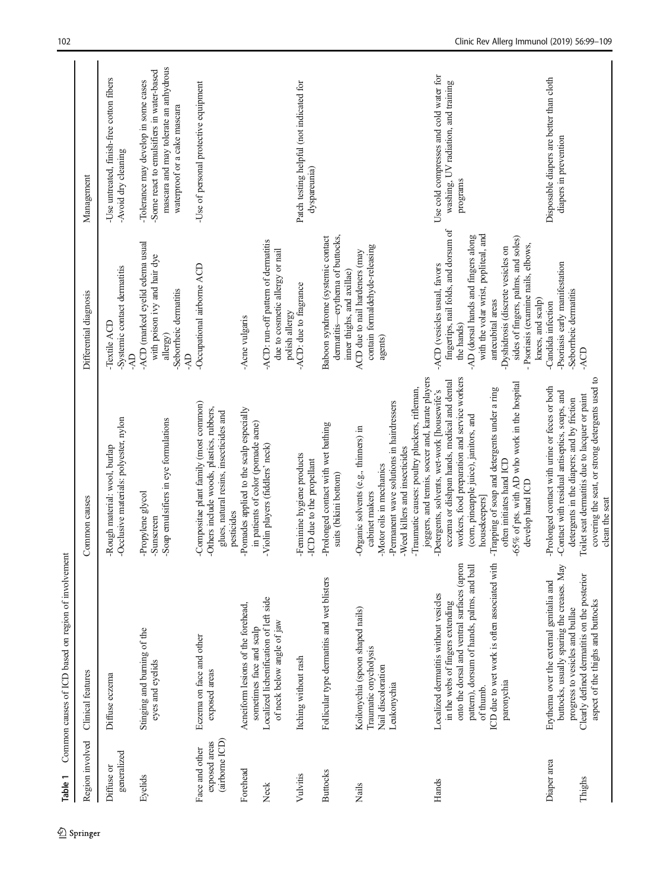<span id="page-3-0"></span>

| Region involved                                   | Clinical features                                                                                                                                                                                                                                 | Common causes                                                                                                                                                                                                                                                                                                                                            | Differential diagnosis                                                                                                                                                                                                                                                                                                         | Management                                                                                                                                                |
|---------------------------------------------------|---------------------------------------------------------------------------------------------------------------------------------------------------------------------------------------------------------------------------------------------------|----------------------------------------------------------------------------------------------------------------------------------------------------------------------------------------------------------------------------------------------------------------------------------------------------------------------------------------------------------|--------------------------------------------------------------------------------------------------------------------------------------------------------------------------------------------------------------------------------------------------------------------------------------------------------------------------------|-----------------------------------------------------------------------------------------------------------------------------------------------------------|
| generalized<br>Diffuse or                         | Diffuse eczema                                                                                                                                                                                                                                    | Occlusive materials: polyester, nylon<br>Rough material: wool, burlap                                                                                                                                                                                                                                                                                    | -Systemic contact dermatitis<br>-Textile ACD<br><b>QV-</b>                                                                                                                                                                                                                                                                     | -Use untreated, finish-free cotton fibers<br>-Avoid dry cleaning                                                                                          |
| Eyelids                                           | Stinging and burning of the<br>eyes and eyelids                                                                                                                                                                                                   | Soap emulsifiers in eye formulations<br>Propylene glycol<br>Sunscreen                                                                                                                                                                                                                                                                                    | -ACD (marked eyelid edema usual<br>with poison ivy and hair dye<br>Seborrheic dermatitis<br>allergy)<br>GV-                                                                                                                                                                                                                    | mascara and may tolerate an anhydrous<br>-Some react to emulsifiers in water-based<br>Tolerance may develop in some cases<br>waterproof or a cake mascara |
| (airborne ICD)<br>exposed areas<br>Face and other | Eczema on face and other<br>exposed areas                                                                                                                                                                                                         | Compositae plant family (most common)<br>-Others include woods, plastics, rubbers,<br>glues, natural resins, insecticides and<br>pesticides                                                                                                                                                                                                              | -Occupational airborne ACD                                                                                                                                                                                                                                                                                                     | -Use of personal protective equipment                                                                                                                     |
| Forehead                                          | Acneiform lesions of the forehead,<br>sometimes face and scalp                                                                                                                                                                                    | Pomades applied to the scalp especially<br>in patients of color (pomade acne)                                                                                                                                                                                                                                                                            | -Acne vulgaris                                                                                                                                                                                                                                                                                                                 |                                                                                                                                                           |
| Neck                                              | Localized lichenification of left side<br>of neck below angle of jaw                                                                                                                                                                              | -Violin players (fiddlers' neck)                                                                                                                                                                                                                                                                                                                         | -ACD: run-off pattern of dermatitis<br>due to cosmetic allergy or nail<br>polish allergy                                                                                                                                                                                                                                       |                                                                                                                                                           |
| Vulvitis                                          | Itching without rash                                                                                                                                                                                                                              | Feminine hygiene products<br>-ICD due to the propellant                                                                                                                                                                                                                                                                                                  | -ACD: due to fragrance                                                                                                                                                                                                                                                                                                         | Patch testing helpful (not indicated for<br>dyspareunia)                                                                                                  |
| <b>Buttocks</b>                                   | Follicular type dermatitis and wet blisters                                                                                                                                                                                                       | Prolonged contact with wet bathing<br>suits (bikini bottom)                                                                                                                                                                                                                                                                                              | dermatitis-erythema of buttocks,<br>Baboon syndrome (systemic contact<br>inner thighs, and axillae)                                                                                                                                                                                                                            |                                                                                                                                                           |
| Nails                                             | Koilonychia (spoon shaped nails)<br>Traumatic onycholysis<br>Nail discoloration<br>Leukonychia                                                                                                                                                    | joggers, and tennis, soccer and, karate players<br>Traumatic causes: poultry pluckers, rifleman,<br>Permanent wave solutions in hairdressers<br>-Organic solvents (e.g., thinners) in<br>Weed killers and insecticides<br>Motor oils in mechanics<br>cabinet makers                                                                                      | contain formaldehyde-releasing<br>ACD due to nail hardeners (may<br>agents)                                                                                                                                                                                                                                                    |                                                                                                                                                           |
| Hands                                             | onto the dorsal and ventral surfaces (apron<br>pattern), dorsum of hands, palms, and ball<br>ICD due to wet work is often associated with<br>Localized dermatitis without vesicles<br>in the webs of fingers extending<br>paronychia<br>of thumb. | workers, food preparation and service workers<br>eczema or dishpan hands, medical and dental<br>-65% of pts. with AD who work in the hospital<br>Trapping of soap and detergents under a ring<br>-Detergents, solvents, wet-work [housewife's<br>(corn, pineapple juice), janitors, and<br>often initiates hand ICD<br>develop hand ICD<br>housekeepers] | fingertips, nail folds, and dorsum of<br>with the volar wrist, popliteal, and<br>-AD (dorsal hands and fingers along<br>sides of fingers, palms, and soles)<br>Psoriasis (examine nails, elbows,<br>-Dyshidrosis (discrete vesicles on<br>-ACD (vesicles usual, favors<br>knees, and scalp)<br>antecubital areas<br>the hands) | Use cold compresses and cold water for<br>washing, UV radiation, and training<br>programs                                                                 |
| Diaper area<br>Thighs                             | buttocks, usually sparing the creases. May<br>Clearly defined dermatitis on the posterior<br>Erythema over the external genitalia and<br>aspect of the thighs and buttocks<br>progress to vesicles and bullae                                     | covering the seat, or strong detergents used to<br>Prolonged contact with urine or feces or both<br>Contact with residual antiseptics, soaps, and<br>Toilet seat dermatitis due to lacquer or paint<br>detergents in the diapers; and by friction<br>clean the seat                                                                                      | Psoriasis early manifestation<br>Seborrheic dermatitis<br>-Candida infection<br>ACD.                                                                                                                                                                                                                                           | Disposable diapers are better than cloth<br>diapers in prevention                                                                                         |

Table 1 Common causes of ICD based on region of involvement Table 1 Common causes of ICD based on region of involvement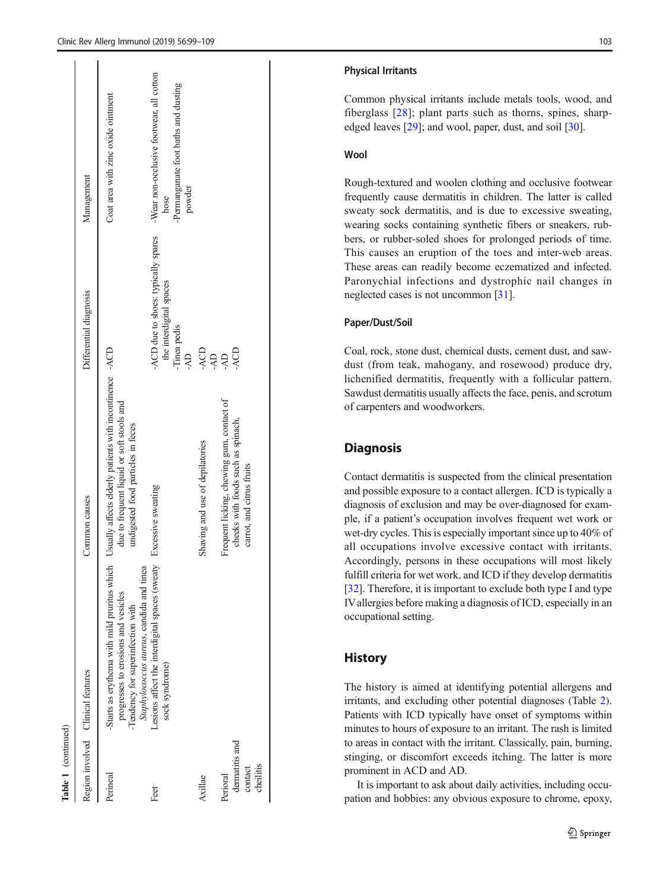|                                                    | Region involved Clinical features                                                                                                                                    | Common causes                                                                                                                              | Differential diagnosis                                                                | Management                                                                                         |
|----------------------------------------------------|----------------------------------------------------------------------------------------------------------------------------------------------------------------------|--------------------------------------------------------------------------------------------------------------------------------------------|---------------------------------------------------------------------------------------|----------------------------------------------------------------------------------------------------|
| Perineal                                           | Staphylococcus aureus, candida and tinea<br>-Starts as erythema with mild pruritus which<br>progresses to erosions and vesicles<br>-Tendency for superinfection with | Usually affects elderly patients with incontinence -ACD<br>due to frequent liquid or soft stools and<br>undigested food particles in feces |                                                                                       | Coat area with zinc oxide ointment                                                                 |
| Feet                                               | esions affect the interdigital spaces (sweaty<br>sock syndrome)                                                                                                      | Excessive sweating                                                                                                                         | -ACD due to shoes: typically spares<br>the interdigital spaces<br>-Tinea pedis<br>HA- | -Wear non-occlusive footwear, all cotton<br>-Permanganate foot baths and dusting<br>powder<br>hose |
| Axillae                                            |                                                                                                                                                                      | Shaving and use of depilatories                                                                                                            | -ACD                                                                                  |                                                                                                    |
| dermatitis and<br>cheilitis<br>contact<br>Perioral |                                                                                                                                                                      | Frequent licking, chewing gum, contact of<br>cheeks with foods such as spinach,<br>carrot, and citrus fruits                               | <b>ACD</b><br><b>QA</b>                                                               |                                                                                                    |
|                                                    |                                                                                                                                                                      |                                                                                                                                            |                                                                                       |                                                                                                    |

[able 1 (continued)

(continued)

#### Physical Irritants

Common physical irritants include metals tools, wood, and fiberglass [[28\]](#page-10-0); plant parts such as thorns, spines, sharpedged leaves [[29\]](#page-10-0); and wool, paper, dust, and soil [\[30\]](#page-10-0).

### Wool

Rough-textured and woolen clothing and occlusive footwear frequently cause dermatitis in children. The latter is called sweaty sock dermatitis, and is due to excessive sweating, wearing socks containing synthetic fibers or sneakers, rubbers, or rubber-soled shoes for prolonged periods of time. This causes an eruption of the toes and inter-web areas. These areas can readily become eczematized and infected. Paronychial infections and dystrophic nail changes in neglected cases is not uncommon [[31](#page-10-0)].

#### Paper/Dust/Soil

Coal, rock, stone dust, chemical dusts, cement dust, and sawdust (from teak, mahogany, and rosewood) produce dry, lichenified dermatitis, frequently with a follicular pattern. Sawdust dermatitis usually affects the face, penis, and scrotum of carpenters and woodworkers.

# **Diagnosis**

Contact dermatitis is suspected from the clinical presentation and possible exposure to a contact allergen. ICD is typically a diagnosis of exclusion and may be over-diagnosed for example, if a patient's occupation involves frequent wet work or wet-dry cycles. This is especially important since up to 40% of all occupations involve excessive contact with irritants. Accordingly, persons in these occupations will most likely fulfill criteria for wet work, and ICD if they develop dermatitis [\[32](#page-10-0)]. Therefore, it is important to exclude both type I and type IVallergies before making a diagnosis of ICD, especially in an occupational setting.

## **History**

The history is aimed at identifying potential allergens and irritants, and excluding other potential diagnoses (Table [2\)](#page-5-0). Patients with ICD typically have onset of symptoms within minutes to hours of exposure to an irritant. The rash is limited to areas in contact with the irritant. Classically, pain, burning, stinging, or discomfort exceeds itching. The latter is more prominent in ACD and AD.

It is important to ask about daily activities, including occupation and hobbies: any obvious exposure to chrome, epoxy,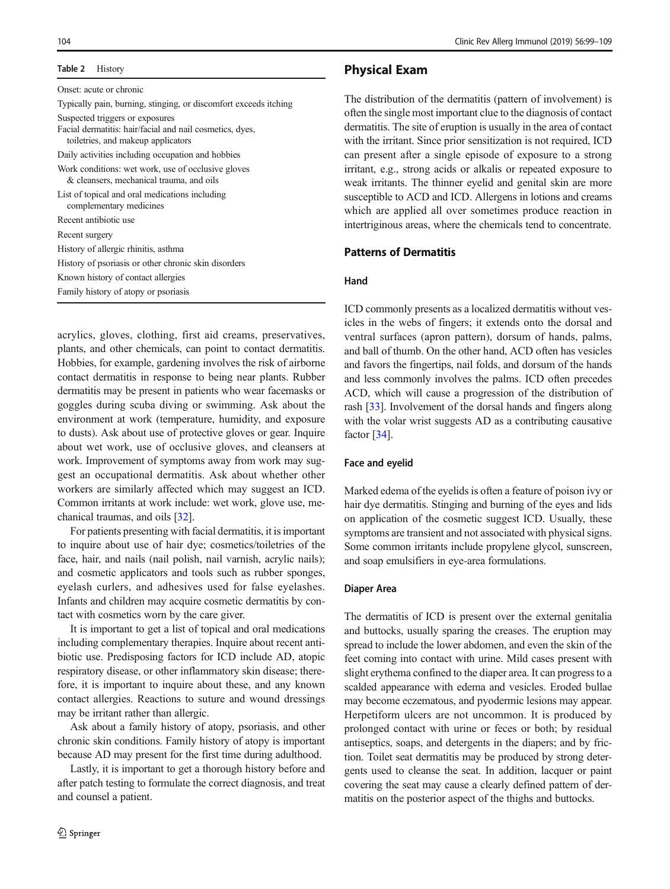<span id="page-5-0"></span>

| Onset: acute or chronic                                                                                                           |
|-----------------------------------------------------------------------------------------------------------------------------------|
| Typically pain, burning, stinging, or discomfort exceeds itching                                                                  |
| Suspected triggers or exposures<br>Facial dermatitis: hair/facial and nail cosmetics, dyes,<br>toiletries, and makeup applicators |
| Daily activities including occupation and hobbies                                                                                 |
| Work conditions: wet work, use of occlusive gloves<br>& cleansers, mechanical trauma, and oils                                    |
| List of topical and oral medications including<br>complementary medicines                                                         |
| Recent antibiotic use                                                                                                             |
| Recent surgery                                                                                                                    |
| History of allergic rhinitis, asthma                                                                                              |
| History of psoriasis or other chronic skin disorders                                                                              |
| Known history of contact allergies                                                                                                |
| Family history of atopy or psoriasis                                                                                              |
|                                                                                                                                   |

acrylics, gloves, clothing, first aid creams, preservatives, plants, and other chemicals, can point to contact dermatitis. Hobbies, for example, gardening involves the risk of airborne contact dermatitis in response to being near plants. Rubber dermatitis may be present in patients who wear facemasks or goggles during scuba diving or swimming. Ask about the environment at work (temperature, humidity, and exposure to dusts). Ask about use of protective gloves or gear. Inquire about wet work, use of occlusive gloves, and cleansers at work. Improvement of symptoms away from work may suggest an occupational dermatitis. Ask about whether other workers are similarly affected which may suggest an ICD. Common irritants at work include: wet work, glove use, mechanical traumas, and oils [[32\]](#page-10-0).

For patients presenting with facial dermatitis, it is important to inquire about use of hair dye; cosmetics/toiletries of the face, hair, and nails (nail polish, nail varnish, acrylic nails); and cosmetic applicators and tools such as rubber sponges, eyelash curlers, and adhesives used for false eyelashes. Infants and children may acquire cosmetic dermatitis by contact with cosmetics worn by the care giver.

It is important to get a list of topical and oral medications including complementary therapies. Inquire about recent antibiotic use. Predisposing factors for ICD include AD, atopic respiratory disease, or other inflammatory skin disease; therefore, it is important to inquire about these, and any known contact allergies. Reactions to suture and wound dressings may be irritant rather than allergic.

Ask about a family history of atopy, psoriasis, and other chronic skin conditions. Family history of atopy is important because AD may present for the first time during adulthood.

Lastly, it is important to get a thorough history before and after patch testing to formulate the correct diagnosis, and treat and counsel a patient.

### Physical Exam

The distribution of the dermatitis (pattern of involvement) is often the single most important clue to the diagnosis of contact dermatitis. The site of eruption is usually in the area of contact with the irritant. Since prior sensitization is not required, ICD can present after a single episode of exposure to a strong irritant, e.g., strong acids or alkalis or repeated exposure to weak irritants. The thinner eyelid and genital skin are more susceptible to ACD and ICD. Allergens in lotions and creams which are applied all over sometimes produce reaction in intertriginous areas, where the chemicals tend to concentrate.

### Patterns of Dermatitis

#### Hand

ICD commonly presents as a localized dermatitis without vesicles in the webs of fingers; it extends onto the dorsal and ventral surfaces (apron pattern), dorsum of hands, palms, and ball of thumb. On the other hand, ACD often has vesicles and favors the fingertips, nail folds, and dorsum of the hands and less commonly involves the palms. ICD often precedes ACD, which will cause a progression of the distribution of rash [\[33](#page-10-0)]. Involvement of the dorsal hands and fingers along with the volar wrist suggests AD as a contributing causative factor [\[34](#page-10-0)].

#### Face and eyelid

Marked edema of the eyelids is often a feature of poison ivy or hair dye dermatitis. Stinging and burning of the eyes and lids on application of the cosmetic suggest ICD. Usually, these symptoms are transient and not associated with physical signs. Some common irritants include propylene glycol, sunscreen, and soap emulsifiers in eye-area formulations.

#### Diaper Area

The dermatitis of ICD is present over the external genitalia and buttocks, usually sparing the creases. The eruption may spread to include the lower abdomen, and even the skin of the feet coming into contact with urine. Mild cases present with slight erythema confined to the diaper area. It can progress to a scalded appearance with edema and vesicles. Eroded bullae may become eczematous, and pyodermic lesions may appear. Herpetiform ulcers are not uncommon. It is produced by prolonged contact with urine or feces or both; by residual antiseptics, soaps, and detergents in the diapers; and by friction. Toilet seat dermatitis may be produced by strong detergents used to cleanse the seat. In addition, lacquer or paint covering the seat may cause a clearly defined pattern of dermatitis on the posterior aspect of the thighs and buttocks.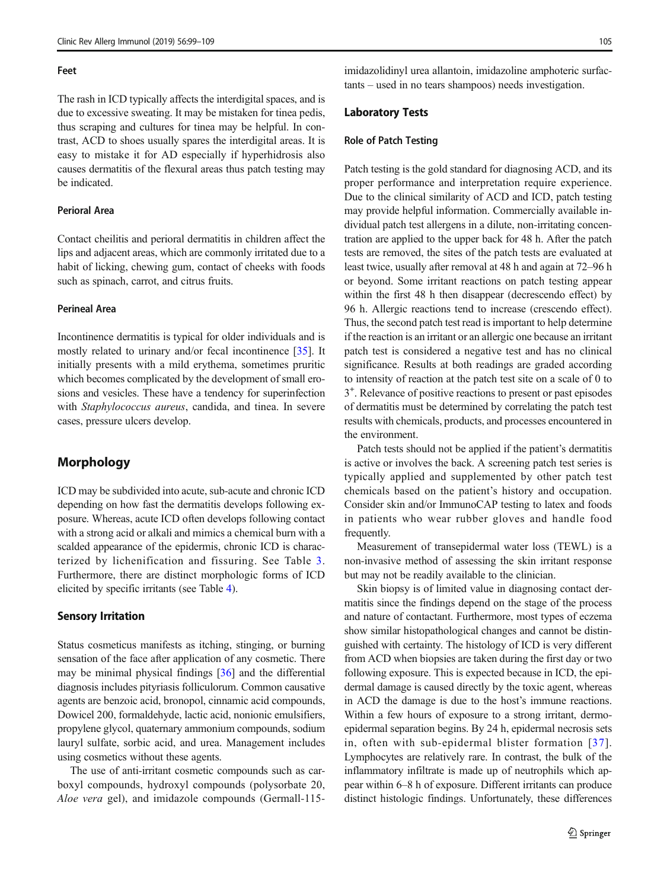#### Feet

The rash in ICD typically affects the interdigital spaces, and is due to excessive sweating. It may be mistaken for tinea pedis, thus scraping and cultures for tinea may be helpful. In contrast, ACD to shoes usually spares the interdigital areas. It is easy to mistake it for AD especially if hyperhidrosis also causes dermatitis of the flexural areas thus patch testing may be indicated.

#### Perioral Area

Contact cheilitis and perioral dermatitis in children affect the lips and adjacent areas, which are commonly irritated due to a habit of licking, chewing gum, contact of cheeks with foods such as spinach, carrot, and citrus fruits.

#### Perineal Area

Incontinence dermatitis is typical for older individuals and is mostly related to urinary and/or fecal incontinence [[35\]](#page-10-0). It initially presents with a mild erythema, sometimes pruritic which becomes complicated by the development of small erosions and vesicles. These have a tendency for superinfection with Staphylococcus aureus, candida, and tinea. In severe cases, pressure ulcers develop.

### Morphology

ICD may be subdivided into acute, sub-acute and chronic ICD depending on how fast the dermatitis develops following exposure. Whereas, acute ICD often develops following contact with a strong acid or alkali and mimics a chemical burn with a scalded appearance of the epidermis, chronic ICD is characterized by lichenification and fissuring. See Table [3.](#page-7-0) Furthermore, there are distinct morphologic forms of ICD elicited by specific irritants (see Table [4](#page-7-0)).

#### Sensory Irritation

Status cosmeticus manifests as itching, stinging, or burning sensation of the face after application of any cosmetic. There may be minimal physical findings [\[36\]](#page-10-0) and the differential diagnosis includes pityriasis folliculorum. Common causative agents are benzoic acid, bronopol, cinnamic acid compounds, Dowicel 200, formaldehyde, lactic acid, nonionic emulsifiers, propylene glycol, quaternary ammonium compounds, sodium lauryl sulfate, sorbic acid, and urea. Management includes using cosmetics without these agents.

The use of anti-irritant cosmetic compounds such as carboxyl compounds, hydroxyl compounds (polysorbate 20, Aloe vera gel), and imidazole compounds (Germall-115-

imidazolidinyl urea allantoin, imidazoline amphoteric surfactants – used in no tears shampoos) needs investigation.

#### Laboratory Tests

#### Role of Patch Testing

Patch testing is the gold standard for diagnosing ACD, and its proper performance and interpretation require experience. Due to the clinical similarity of ACD and ICD, patch testing may provide helpful information. Commercially available individual patch test allergens in a dilute, non-irritating concentration are applied to the upper back for 48 h. After the patch tests are removed, the sites of the patch tests are evaluated at least twice, usually after removal at 48 h and again at 72–96 h or beyond. Some irritant reactions on patch testing appear within the first 48 h then disappear (decrescendo effect) by 96 h. Allergic reactions tend to increase (crescendo effect). Thus, the second patch test read is important to help determine if the reaction is an irritant or an allergic one because an irritant patch test is considered a negative test and has no clinical significance. Results at both readings are graded according to intensity of reaction at the patch test site on a scale of 0 to 3+ . Relevance of positive reactions to present or past episodes of dermatitis must be determined by correlating the patch test results with chemicals, products, and processes encountered in the environment.

Patch tests should not be applied if the patient's dermatitis is active or involves the back. A screening patch test series is typically applied and supplemented by other patch test chemicals based on the patient's history and occupation. Consider skin and/or ImmunoCAP testing to latex and foods in patients who wear rubber gloves and handle food frequently.

Measurement of transepidermal water loss (TEWL) is a non-invasive method of assessing the skin irritant response but may not be readily available to the clinician.

Skin biopsy is of limited value in diagnosing contact dermatitis since the findings depend on the stage of the process and nature of contactant. Furthermore, most types of eczema show similar histopathological changes and cannot be distinguished with certainty. The histology of ICD is very different from ACD when biopsies are taken during the first day or two following exposure. This is expected because in ICD, the epidermal damage is caused directly by the toxic agent, whereas in ACD the damage is due to the host's immune reactions. Within a few hours of exposure to a strong irritant, dermoepidermal separation begins. By 24 h, epidermal necrosis sets in, often with sub-epidermal blister formation [[37\]](#page-10-0). Lymphocytes are relatively rare. In contrast, the bulk of the inflammatory infiltrate is made up of neutrophils which appear within 6–8 h of exposure. Different irritants can produce distinct histologic findings. Unfortunately, these differences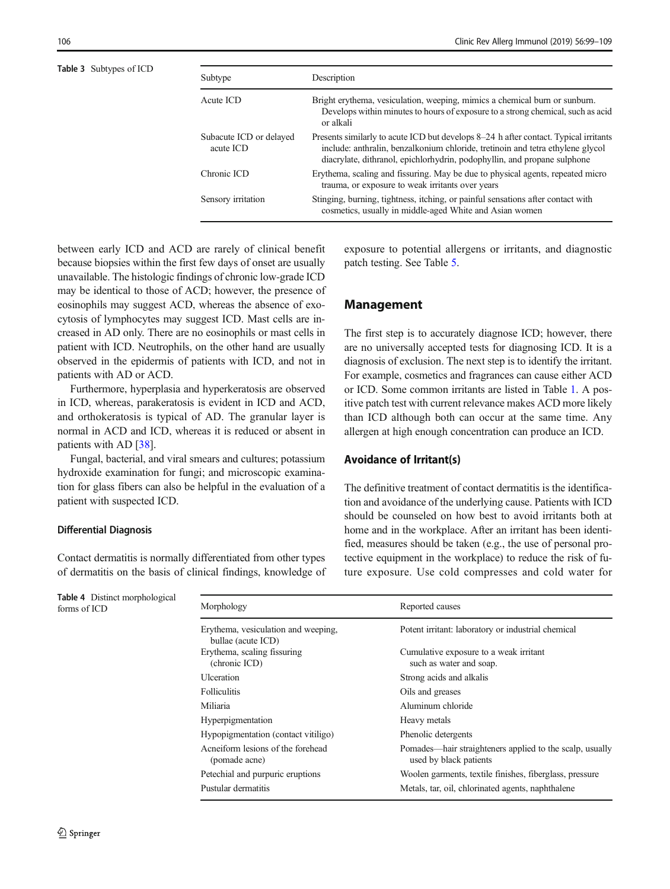#### <span id="page-7-0"></span>Table 3 Subtypes of ICD

| Subtype                              | Description                                                                                                                                                                                                                                        |
|--------------------------------------|----------------------------------------------------------------------------------------------------------------------------------------------------------------------------------------------------------------------------------------------------|
| Acute ICD                            | Bright erythema, vesiculation, weeping, mimics a chemical burn or sunburn.<br>Develops within minutes to hours of exposure to a strong chemical, such as acid<br>or alkali                                                                         |
| Subacute ICD or delayed<br>acute ICD | Presents similarly to acute ICD but develops 8–24 h after contact. Typical irritants<br>include: anthralin, benzalkonium chloride, tretinoin and tetra ethylene glycol<br>diacrylate, dithranol, epichlorhydrin, podophyllin, and propane sulphone |
| Chronic ICD                          | Erythema, scaling and fissuring. May be due to physical agents, repeated micro<br>trauma, or exposure to weak irritants over years                                                                                                                 |
| Sensory irritation                   | Stinging, burning, tightness, itching, or painful sensations after contact with<br>cosmetics, usually in middle-aged White and Asian women                                                                                                         |

between early ICD and ACD are rarely of clinical benefit because biopsies within the first few days of onset are usually unavailable. The histologic findings of chronic low-grade ICD may be identical to those of ACD; however, the presence of eosinophils may suggest ACD, whereas the absence of exocytosis of lymphocytes may suggest ICD. Mast cells are increased in AD only. There are no eosinophils or mast cells in patient with ICD. Neutrophils, on the other hand are usually observed in the epidermis of patients with ICD, and not in patients with AD or ACD.

Furthermore, hyperplasia and hyperkeratosis are observed in ICD, whereas, parakeratosis is evident in ICD and ACD, and orthokeratosis is typical of AD. The granular layer is normal in ACD and ICD, whereas it is reduced or absent in patients with AD [\[38](#page-10-0)].

Fungal, bacterial, and viral smears and cultures; potassium hydroxide examination for fungi; and microscopic examination for glass fibers can also be helpful in the evaluation of a patient with suspected ICD.

#### Differential Diagnosis

Contact dermatitis is normally differentiated from other types of dermatitis on the basis of clinical findings, knowledge of exposure to potential allergens or irritants, and diagnostic patch testing. See Table [5.](#page-8-0)

### Management

The first step is to accurately diagnose ICD; however, there are no universally accepted tests for diagnosing ICD. It is a diagnosis of exclusion. The next step is to identify the irritant. For example, cosmetics and fragrances can cause either ACD or ICD. Some common irritants are listed in Table [1](#page-3-0). A positive patch test with current relevance makes ACD more likely than ICD although both can occur at the same time. Any allergen at high enough concentration can produce an ICD.

### Avoidance of Irritant(s)

The definitive treatment of contact dermatitis is the identification and avoidance of the underlying cause. Patients with ICD should be counseled on how best to avoid irritants both at home and in the workplace. After an irritant has been identified, measures should be taken (e.g., the use of personal protective equipment in the workplace) to reduce the risk of future exposure. Use cold compresses and cold water for

| <b>Table 4</b> Distinct morphological<br>forms of ICD | Morphology                                                | Reported causes                                                                    |  |
|-------------------------------------------------------|-----------------------------------------------------------|------------------------------------------------------------------------------------|--|
|                                                       | Erythema, vesiculation and weeping,<br>bullae (acute ICD) | Potent irritant: laboratory or industrial chemical                                 |  |
|                                                       | Erythema, scaling fissuring<br>(chronic ICD)              | Cumulative exposure to a weak irritant<br>such as water and soap.                  |  |
|                                                       | Ulceration                                                | Strong acids and alkalis                                                           |  |
|                                                       | <b>Folliculitis</b>                                       | Oils and greases                                                                   |  |
|                                                       | Miliaria                                                  | Aluminum chloride                                                                  |  |
|                                                       | Hyperpigmentation                                         | Heavy metals                                                                       |  |
|                                                       | Hypopigmentation (contact vitiligo)                       | Phenolic detergents                                                                |  |
|                                                       | Acneiform lesions of the forehead<br>(pomade acne)        | Pomades—hair straighteners applied to the scalp, usually<br>used by black patients |  |
|                                                       | Petechial and purpuric eruptions                          | Woolen garments, textile finishes, fiberglass, pressure                            |  |
|                                                       | Pustular dermatitis                                       | Metals, tar, oil, chlorinated agents, naphthalene                                  |  |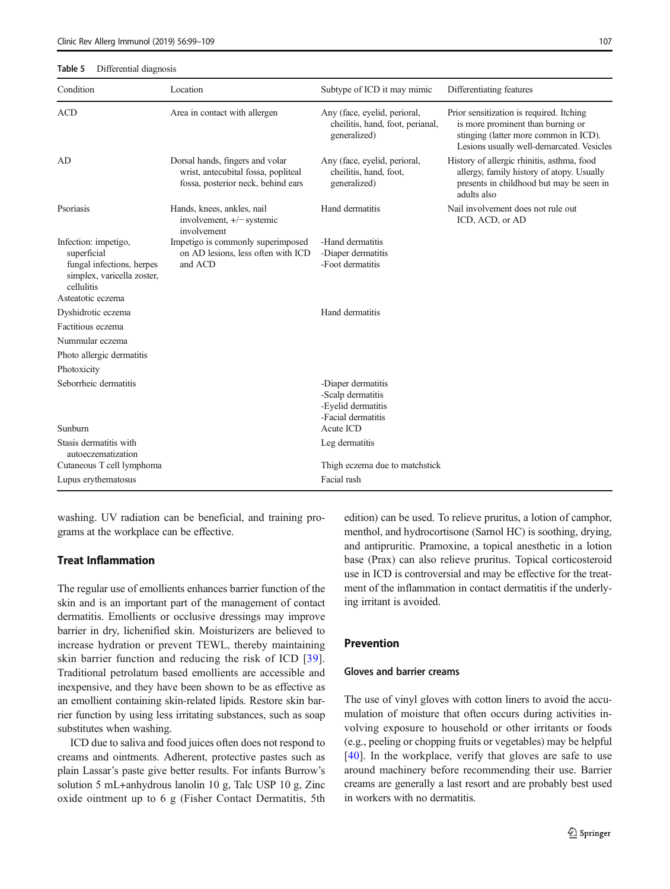#### <span id="page-8-0"></span>Table 5 Differential diagnosis

| Condition                                                                                                    | Location                                                                                                     | Subtype of ICD it may mimic                                                         | Differentiating features                                                                                                                                            |
|--------------------------------------------------------------------------------------------------------------|--------------------------------------------------------------------------------------------------------------|-------------------------------------------------------------------------------------|---------------------------------------------------------------------------------------------------------------------------------------------------------------------|
| <b>ACD</b>                                                                                                   | Area in contact with allergen                                                                                | Any (face, eyelid, perioral,<br>cheilitis, hand, foot, perianal,<br>generalized)    | Prior sensitization is required. Itching<br>is more prominent than burning or<br>stinging (latter more common in ICD).<br>Lesions usually well-demarcated. Vesicles |
| AD                                                                                                           | Dorsal hands, fingers and volar<br>wrist, antecubital fossa, popliteal<br>fossa, posterior neck, behind ears | Any (face, eyelid, perioral,<br>cheilitis, hand, foot,<br>generalized)              | History of allergic rhinitis, asthma, food<br>allergy, family history of atopy. Usually<br>presents in childhood but may be seen in<br>adults also                  |
| Psoriasis                                                                                                    | Hands, knees, ankles, nail<br>involvement, $+/-$ systemic<br>involvement                                     | Hand dermatitis                                                                     | Nail involvement does not rule out<br>ICD, ACD, or AD                                                                                                               |
| Infection: impetigo,<br>superficial<br>fungal infections, herpes<br>simplex, varicella zoster,<br>cellulitis | Impetigo is commonly superimposed<br>on AD lesions, less often with ICD<br>and ACD                           | -Hand dermatitis<br>-Diaper dermatitis<br>-Foot dermatitis                          |                                                                                                                                                                     |
| Asteatotic eczema                                                                                            |                                                                                                              |                                                                                     |                                                                                                                                                                     |
| Dyshidrotic eczema                                                                                           |                                                                                                              | Hand dermatitis                                                                     |                                                                                                                                                                     |
| Factitious eczema                                                                                            |                                                                                                              |                                                                                     |                                                                                                                                                                     |
| Nummular eczema                                                                                              |                                                                                                              |                                                                                     |                                                                                                                                                                     |
| Photo allergic dermatitis                                                                                    |                                                                                                              |                                                                                     |                                                                                                                                                                     |
| Photoxicity                                                                                                  |                                                                                                              |                                                                                     |                                                                                                                                                                     |
| Seborrheic dermatitis                                                                                        |                                                                                                              | -Diaper dermatitis<br>-Scalp dermatitis<br>-Eyelid dermatitis<br>-Facial dermatitis |                                                                                                                                                                     |
| Sunburn                                                                                                      |                                                                                                              | Acute ICD                                                                           |                                                                                                                                                                     |
| Stasis dermatitis with<br>autoeczematization                                                                 |                                                                                                              | Leg dermatitis                                                                      |                                                                                                                                                                     |
| Cutaneous T cell lymphoma                                                                                    |                                                                                                              | Thigh eczema due to matchstick                                                      |                                                                                                                                                                     |
| Lupus erythematosus                                                                                          |                                                                                                              | Facial rash                                                                         |                                                                                                                                                                     |

washing. UV radiation can be beneficial, and training programs at the workplace can be effective.

### Treat Inflammation

The regular use of emollients enhances barrier function of the skin and is an important part of the management of contact dermatitis. Emollients or occlusive dressings may improve barrier in dry, lichenified skin. Moisturizers are believed to increase hydration or prevent TEWL, thereby maintaining skin barrier function and reducing the risk of ICD [[39](#page-10-0)]. Traditional petrolatum based emollients are accessible and inexpensive, and they have been shown to be as effective as an emollient containing skin-related lipids. Restore skin barrier function by using less irritating substances, such as soap substitutes when washing.

ICD due to saliva and food juices often does not respond to creams and ointments. Adherent, protective pastes such as plain Lassar's paste give better results. For infants Burrow's solution 5 mL+anhydrous lanolin 10 g, Talc USP 10 g, Zinc oxide ointment up to 6 g (Fisher Contact Dermatitis, 5th edition) can be used. To relieve pruritus, a lotion of camphor, menthol, and hydrocortisone (Sarnol HC) is soothing, drying, and antipruritic. Pramoxine, a topical anesthetic in a lotion base (Prax) can also relieve pruritus. Topical corticosteroid use in ICD is controversial and may be effective for the treatment of the inflammation in contact dermatitis if the underlying irritant is avoided.

#### Prevention

#### Gloves and barrier creams

The use of vinyl gloves with cotton liners to avoid the accumulation of moisture that often occurs during activities involving exposure to household or other irritants or foods (e.g., peeling or chopping fruits or vegetables) may be helpful [\[40\]](#page-10-0). In the workplace, verify that gloves are safe to use around machinery before recommending their use. Barrier creams are generally a last resort and are probably best used in workers with no dermatitis.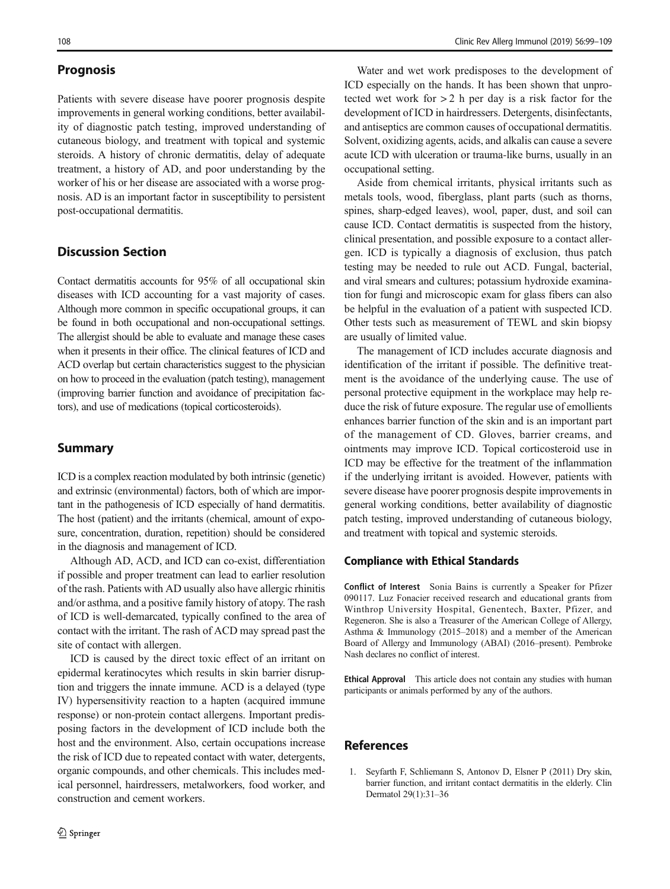### <span id="page-9-0"></span>**Prognosis**

Patients with severe disease have poorer prognosis despite improvements in general working conditions, better availability of diagnostic patch testing, improved understanding of cutaneous biology, and treatment with topical and systemic steroids. A history of chronic dermatitis, delay of adequate treatment, a history of AD, and poor understanding by the worker of his or her disease are associated with a worse prognosis. AD is an important factor in susceptibility to persistent post-occupational dermatitis.

# Discussion Section

Contact dermatitis accounts for 95% of all occupational skin diseases with ICD accounting for a vast majority of cases. Although more common in specific occupational groups, it can be found in both occupational and non-occupational settings. The allergist should be able to evaluate and manage these cases when it presents in their office. The clinical features of ICD and ACD overlap but certain characteristics suggest to the physician on how to proceed in the evaluation (patch testing), management (improving barrier function and avoidance of precipitation factors), and use of medications (topical corticosteroids).

### Summary

ICD is a complex reaction modulated by both intrinsic (genetic) and extrinsic (environmental) factors, both of which are important in the pathogenesis of ICD especially of hand dermatitis. The host (patient) and the irritants (chemical, amount of exposure, concentration, duration, repetition) should be considered in the diagnosis and management of ICD.

Although AD, ACD, and ICD can co-exist, differentiation if possible and proper treatment can lead to earlier resolution of the rash. Patients with AD usually also have allergic rhinitis and/or asthma, and a positive family history of atopy. The rash of ICD is well-demarcated, typically confined to the area of contact with the irritant. The rash of ACD may spread past the site of contact with allergen.

ICD is caused by the direct toxic effect of an irritant on epidermal keratinocytes which results in skin barrier disruption and triggers the innate immune. ACD is a delayed (type IV) hypersensitivity reaction to a hapten (acquired immune response) or non-protein contact allergens. Important predisposing factors in the development of ICD include both the host and the environment. Also, certain occupations increase the risk of ICD due to repeated contact with water, detergents, organic compounds, and other chemicals. This includes medical personnel, hairdressers, metalworkers, food worker, and construction and cement workers.

Water and wet work predisposes to the development of ICD especially on the hands. It has been shown that unprotected wet work for > 2 h per day is a risk factor for the development of ICD in hairdressers. Detergents, disinfectants, and antiseptics are common causes of occupational dermatitis. Solvent, oxidizing agents, acids, and alkalis can cause a severe acute ICD with ulceration or trauma-like burns, usually in an occupational setting.

Aside from chemical irritants, physical irritants such as metals tools, wood, fiberglass, plant parts (such as thorns, spines, sharp-edged leaves), wool, paper, dust, and soil can cause ICD. Contact dermatitis is suspected from the history, clinical presentation, and possible exposure to a contact allergen. ICD is typically a diagnosis of exclusion, thus patch testing may be needed to rule out ACD. Fungal, bacterial, and viral smears and cultures; potassium hydroxide examination for fungi and microscopic exam for glass fibers can also be helpful in the evaluation of a patient with suspected ICD. Other tests such as measurement of TEWL and skin biopsy are usually of limited value.

The management of ICD includes accurate diagnosis and identification of the irritant if possible. The definitive treatment is the avoidance of the underlying cause. The use of personal protective equipment in the workplace may help reduce the risk of future exposure. The regular use of emollients enhances barrier function of the skin and is an important part of the management of CD. Gloves, barrier creams, and ointments may improve ICD. Topical corticosteroid use in ICD may be effective for the treatment of the inflammation if the underlying irritant is avoided. However, patients with severe disease have poorer prognosis despite improvements in general working conditions, better availability of diagnostic patch testing, improved understanding of cutaneous biology, and treatment with topical and systemic steroids.

#### Compliance with Ethical Standards

Conflict of Interest Sonia Bains is currently a Speaker for Pfizer 090117. Luz Fonacier received research and educational grants from Winthrop University Hospital, Genentech, Baxter, Pfizer, and Regeneron. She is also a Treasurer of the American College of Allergy, Asthma & Immunology (2015–2018) and a member of the American Board of Allergy and Immunology (ABAI) (2016–present). Pembroke Nash declares no conflict of interest.

Ethical Approval This article does not contain any studies with human participants or animals performed by any of the authors.

#### References

1. Seyfarth F, Schliemann S, Antonov D, Elsner P (2011) Dry skin, barrier function, and irritant contact dermatitis in the elderly. Clin Dermatol 29(1):31–36